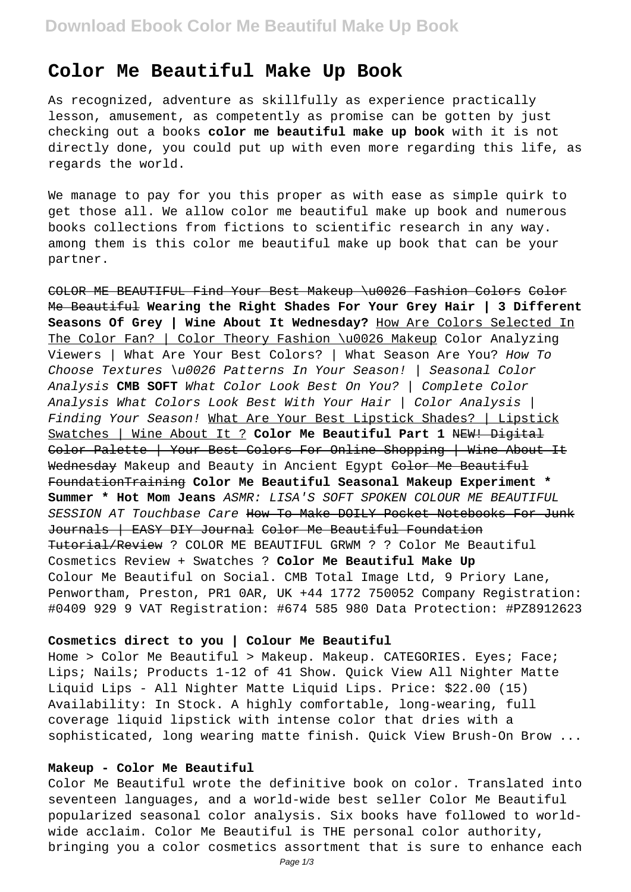# **Color Me Beautiful Make Up Book**

As recognized, adventure as skillfully as experience practically lesson, amusement, as competently as promise can be gotten by just checking out a books **color me beautiful make up book** with it is not directly done, you could put up with even more regarding this life, as regards the world.

We manage to pay for you this proper as with ease as simple quirk to get those all. We allow color me beautiful make up book and numerous books collections from fictions to scientific research in any way. among them is this color me beautiful make up book that can be your partner.

COLOR ME BEAUTIFUL Find Your Best Makeup \u0026 Fashion Colors Color Me Beautiful **Wearing the Right Shades For Your Grey Hair | 3 Different Seasons Of Grey | Wine About It Wednesday?** How Are Colors Selected In The Color Fan? | Color Theory Fashion \u0026 Makeup Color Analyzing Viewers | What Are Your Best Colors? | What Season Are You? How To Choose Textures \u0026 Patterns In Your Season! | Seasonal Color Analysis **CMB SOFT** What Color Look Best On You? | Complete Color Analysis What Colors Look Best With Your Hair | Color Analysis | Finding Your Season! What Are Your Best Lipstick Shades? | Lipstick Swatches | Wine About It ? **Color Me Beautiful Part 1** NEW! Digital Color Palette | Your Best Colors For Online Shopping | Wine About It Wednesday Makeup and Beauty in Ancient Egypt Color Me Beautiful FoundationTraining **Color Me Beautiful Seasonal Makeup Experiment \* Summer \* Hot Mom Jeans** ASMR: LISA'S SOFT SPOKEN COLOUR ME BEAUTIFUL SESSION AT Touchbase Care How To Make DOILY Pocket Notebooks For Junk Journals | EASY DIY Journal Color Me Beautiful Foundation Tutorial/Review ? COLOR ME BEAUTIFUL GRWM ? ? Color Me Beautiful Cosmetics Review + Swatches ? **Color Me Beautiful Make Up** Colour Me Beautiful on Social. CMB Total Image Ltd, 9 Priory Lane, Penwortham, Preston, PR1 0AR, UK +44 1772 750052 Company Registration: #0409 929 9 VAT Registration: #674 585 980 Data Protection: #PZ8912623

#### **Cosmetics direct to you | Colour Me Beautiful**

Home > Color Me Beautiful > Makeup. Makeup. CATEGORIES. Eyes; Face; Lips; Nails; Products 1-12 of 41 Show. Quick View All Nighter Matte Liquid Lips - All Nighter Matte Liquid Lips. Price: \$22.00 (15) Availability: In Stock. A highly comfortable, long-wearing, full coverage liquid lipstick with intense color that dries with a sophisticated, long wearing matte finish. Quick View Brush-On Brow ...

# **Makeup - Color Me Beautiful**

Color Me Beautiful wrote the definitive book on color. Translated into seventeen languages, and a world-wide best seller Color Me Beautiful popularized seasonal color analysis. Six books have followed to worldwide acclaim. Color Me Beautiful is THE personal color authority, bringing you a color cosmetics assortment that is sure to enhance each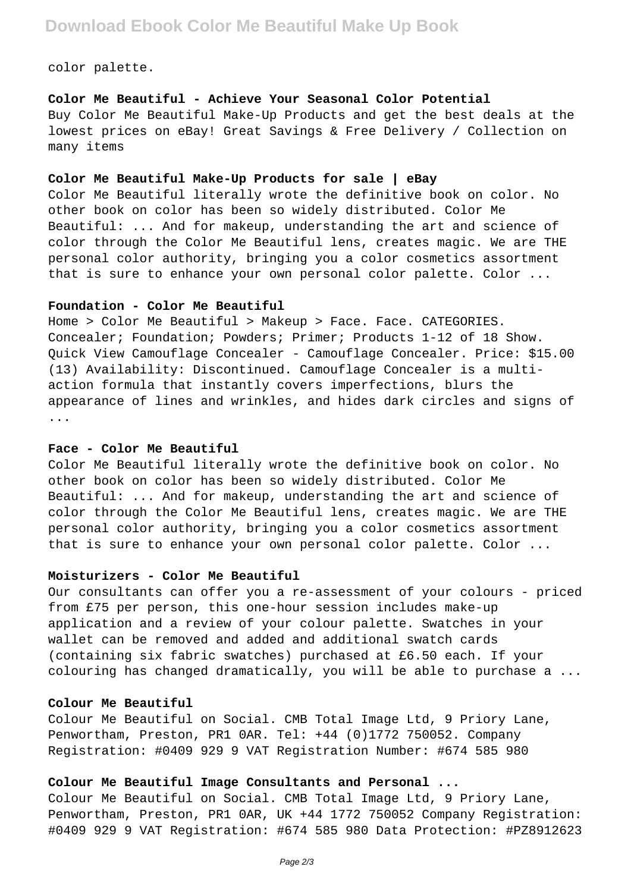# **Download Ebook Color Me Beautiful Make Up Book**

color palette.

**Color Me Beautiful - Achieve Your Seasonal Color Potential** Buy Color Me Beautiful Make-Up Products and get the best deals at the lowest prices on eBay! Great Savings & Free Delivery / Collection on many items

## **Color Me Beautiful Make-Up Products for sale | eBay**

Color Me Beautiful literally wrote the definitive book on color. No other book on color has been so widely distributed. Color Me Beautiful: ... And for makeup, understanding the art and science of color through the Color Me Beautiful lens, creates magic. We are THE personal color authority, bringing you a color cosmetics assortment that is sure to enhance your own personal color palette. Color ...

#### **Foundation - Color Me Beautiful**

Home > Color Me Beautiful > Makeup > Face. Face. CATEGORIES. Concealer; Foundation; Powders; Primer; Products 1-12 of 18 Show. Quick View Camouflage Concealer - Camouflage Concealer. Price: \$15.00 (13) Availability: Discontinued. Camouflage Concealer is a multiaction formula that instantly covers imperfections, blurs the appearance of lines and wrinkles, and hides dark circles and signs of ...

#### **Face - Color Me Beautiful**

Color Me Beautiful literally wrote the definitive book on color. No other book on color has been so widely distributed. Color Me Beautiful: ... And for makeup, understanding the art and science of color through the Color Me Beautiful lens, creates magic. We are THE personal color authority, bringing you a color cosmetics assortment that is sure to enhance your own personal color palette. Color ...

# **Moisturizers - Color Me Beautiful**

Our consultants can offer you a re-assessment of your colours - priced from £75 per person, this one-hour session includes make-up application and a review of your colour palette. Swatches in your wallet can be removed and added and additional swatch cards (containing six fabric swatches) purchased at £6.50 each. If your colouring has changed dramatically, you will be able to purchase a ...

# **Colour Me Beautiful**

Colour Me Beautiful on Social. CMB Total Image Ltd, 9 Priory Lane, Penwortham, Preston, PR1 0AR. Tel: +44 (0)1772 750052. Company Registration: #0409 929 9 VAT Registration Number: #674 585 980

## **Colour Me Beautiful Image Consultants and Personal ...**

Colour Me Beautiful on Social. CMB Total Image Ltd, 9 Priory Lane, Penwortham, Preston, PR1 0AR, UK +44 1772 750052 Company Registration: #0409 929 9 VAT Registration: #674 585 980 Data Protection: #PZ8912623